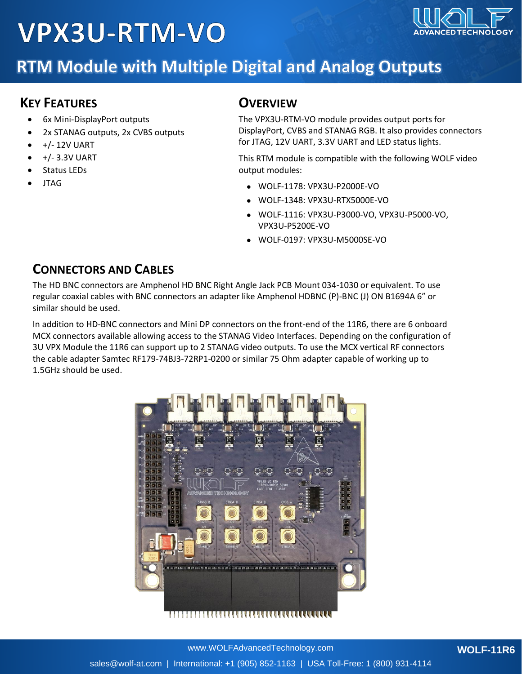# **VPX3U-RTM-VO**



### **RTM Module with Multiple Digital and Analog Outputs**

#### **KEY FEATURES**

- 6x Mini-DisplayPort outputs
- 2x STANAG outputs, 2x CVBS outputs
- +/- 12V UART
- +/- 3.3V UART
- Status LEDs
- JTAG

#### **OVERVIEW**

The VPX3U-RTM-VO module provides output ports for DisplayPort, CVBS and STANAG RGB. It also provides connectors for JTAG, 12V UART, 3.3V UART and LED status lights.

This RTM module is compatible with the following WOLF video output modules:

- WOLF-1178: VPX3U-P2000E-VO
- WOLF-1348: VPX3U-RTX5000E-VO
- WOLF-1116: VPX3U-P3000-VO, VPX3U-P5000-VO, VPX3U-P5200E-VO
- WOLF-0197: VPX3U-M5000SE-VO

#### **CONNECTORS AND CABLES**

The HD BNC connectors are Amphenol HD BNC Right Angle Jack PCB Mount 034-1030 or equivalent. To use regular coaxial cables with BNC connectors an adapter like Amphenol HDBNC (P)-BNC (J) ON B1694A 6" or similar should be used.

In addition to HD-BNC connectors and Mini DP connectors on the front-end of the 11R6, there are 6 onboard MCX connectors available allowing access to the STANAG Video Interfaces. Depending on the configuration of 3U VPX Module the 11R6 can support up to 2 STANAG video outputs. To use the MCX vertical RF connectors the cable adapter Samtec RF179-74BJ3-72RP1-0200 or similar 75 Ohm adapter capable of working up to 1.5GHz should be used.